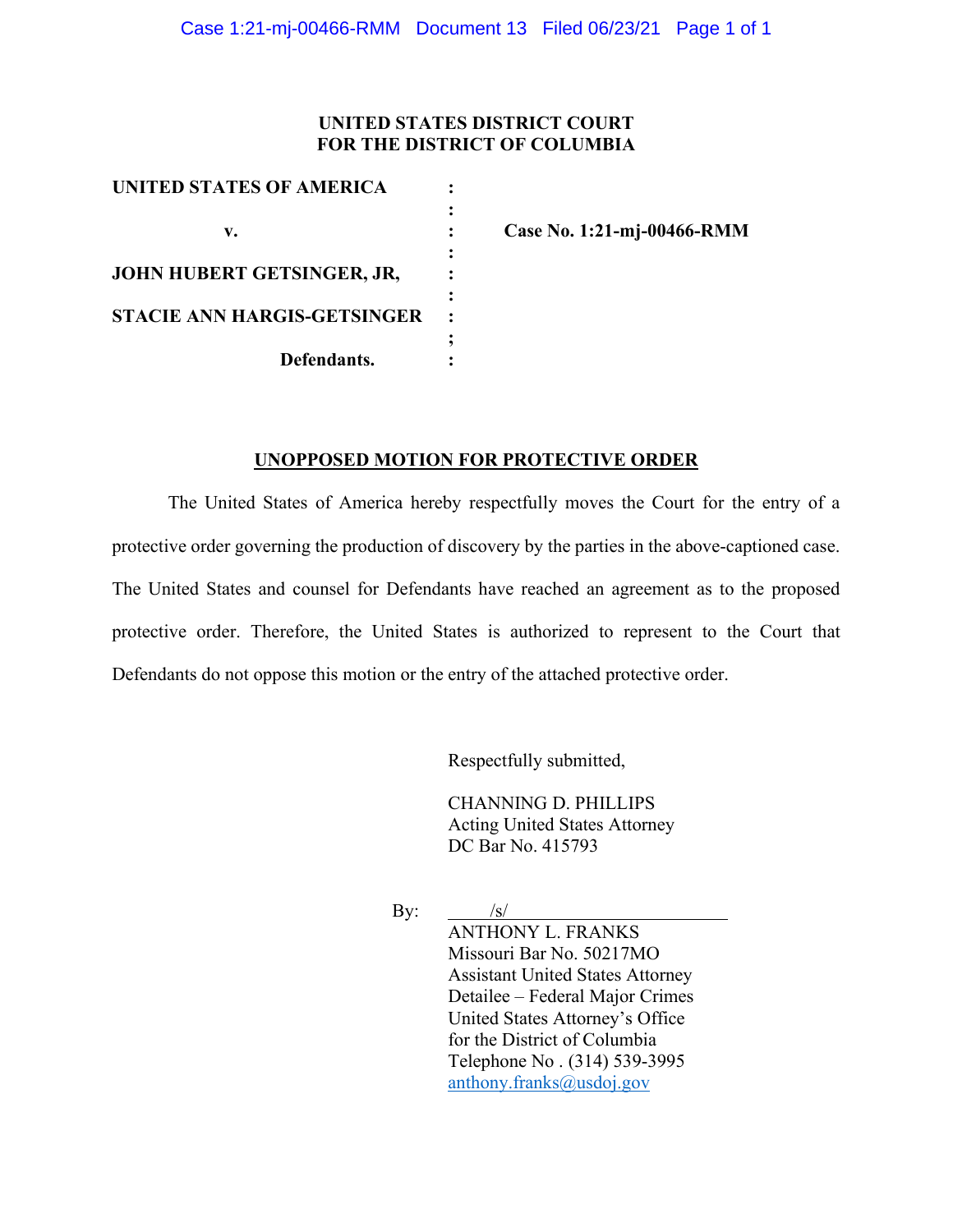## **UNITED STATES DISTRICT COURT FOR THE DISTRICT OF COLUMBIA**

| UNITED STATES OF AMERICA           |  |
|------------------------------------|--|
|                                    |  |
| v.                                 |  |
|                                    |  |
| JOHN HUBERT GETSINGER, JR,         |  |
|                                    |  |
| <b>STACIE ANN HARGIS-GETSINGER</b> |  |
|                                    |  |
| Defendants.                        |  |

**v. : Case No. 1:21-mj-00466-RMM**

#### **UNOPPOSED MOTION FOR PROTECTIVE ORDER**

The United States of America hereby respectfully moves the Court for the entry of a protective order governing the production of discovery by the parties in the above-captioned case. The United States and counsel for Defendants have reached an agreement as to the proposed protective order. Therefore, the United States is authorized to represent to the Court that Defendants do not oppose this motion or the entry of the attached protective order.

Respectfully submitted,

CHANNING D. PHILLIPS Acting United States Attorney DC Bar No. 415793

By:  $\frac{|s|}{\sqrt{|s|}}$ ANTHONY L. FRANKS Missouri Bar No. 50217MO Assistant United States Attorney Detailee – Federal Major Crimes United States Attorney's Office for the District of Columbia Telephone No . (314) 539-3995 anthony.franks@usdoj.gov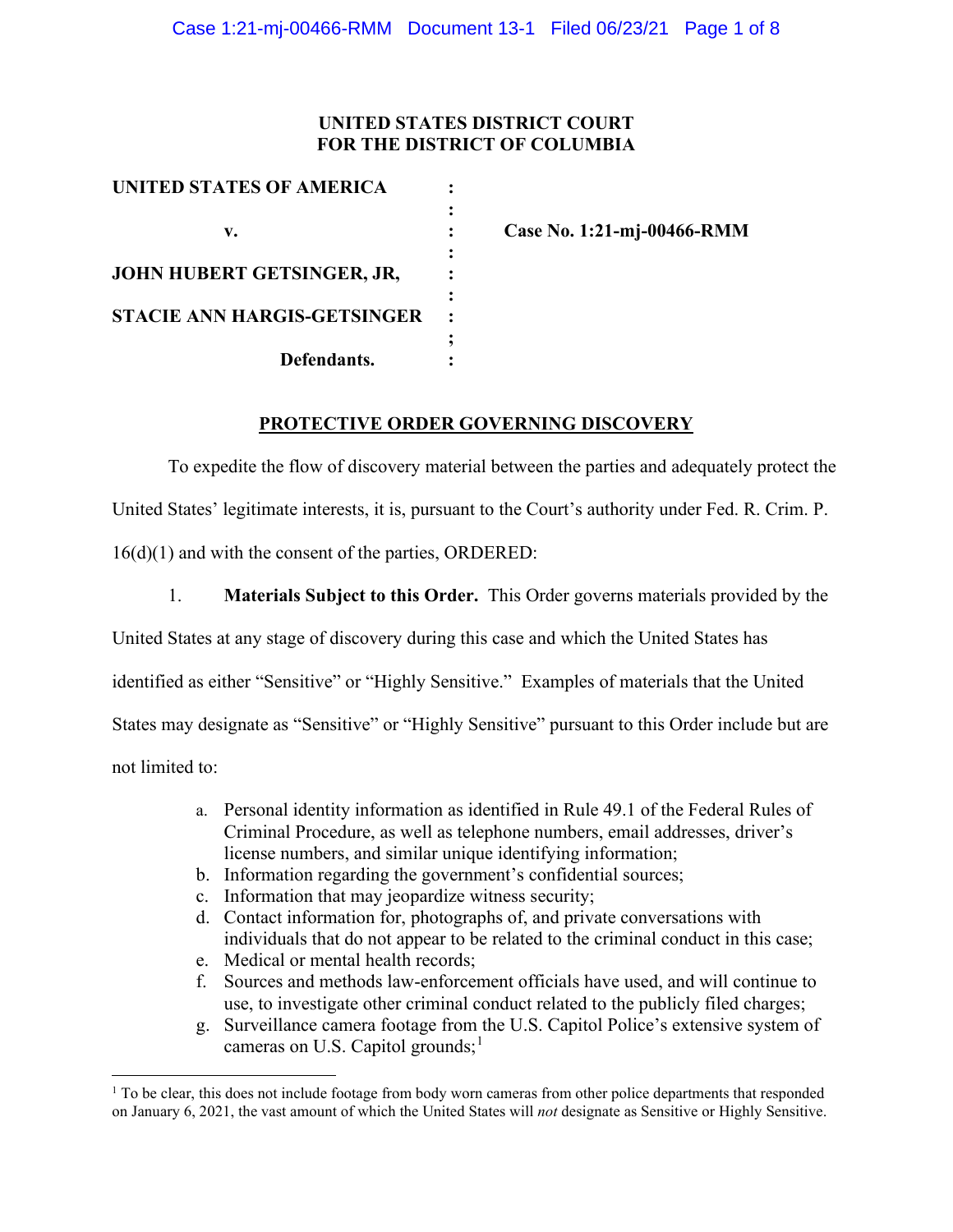## **UNITED STATES DISTRICT COURT FOR THE DISTRICT OF COLUMBIA**

| UNITED STATES OF AMERICA           |  |
|------------------------------------|--|
|                                    |  |
| v.                                 |  |
|                                    |  |
| JOHN HUBERT GETSINGER, JR,         |  |
|                                    |  |
| <b>STACIE ANN HARGIS-GETSINGER</b> |  |
|                                    |  |
| Defendants.                        |  |

**v. : Case No. 1:21-mj-00466-RMM**

## **PROTECTIVE ORDER GOVERNING DISCOVERY**

To expedite the flow of discovery material between the parties and adequately protect the United States' legitimate interests, it is, pursuant to the Court's authority under Fed. R. Crim. P. 16(d)(1) and with the consent of the parties, ORDERED:

1. **Materials Subject to this Order.** This Order governs materials provided by the United States at any stage of discovery during this case and which the United States has identified as either "Sensitive" or "Highly Sensitive." Examples of materials that the United States may designate as "Sensitive" or "Highly Sensitive" pursuant to this Order include but are not limited to:

- a. Personal identity information as identified in Rule 49.1 of the Federal Rules of Criminal Procedure, as well as telephone numbers, email addresses, driver's license numbers, and similar unique identifying information;
- b. Information regarding the government's confidential sources;
- c. Information that may jeopardize witness security;
- d. Contact information for, photographs of, and private conversations with individuals that do not appear to be related to the criminal conduct in this case;
- e. Medical or mental health records;
- f. Sources and methods law-enforcement officials have used, and will continue to use, to investigate other criminal conduct related to the publicly filed charges;
- g. Surveillance camera footage from the U.S. Capitol Police's extensive system of cameras on U.S. Capitol grounds;<sup>1</sup>

<sup>&</sup>lt;sup>1</sup> To be clear, this does not include footage from body worn cameras from other police departments that responded on January 6, 2021, the vast amount of which the United States will *not* designate as Sensitive or Highly Sensitive.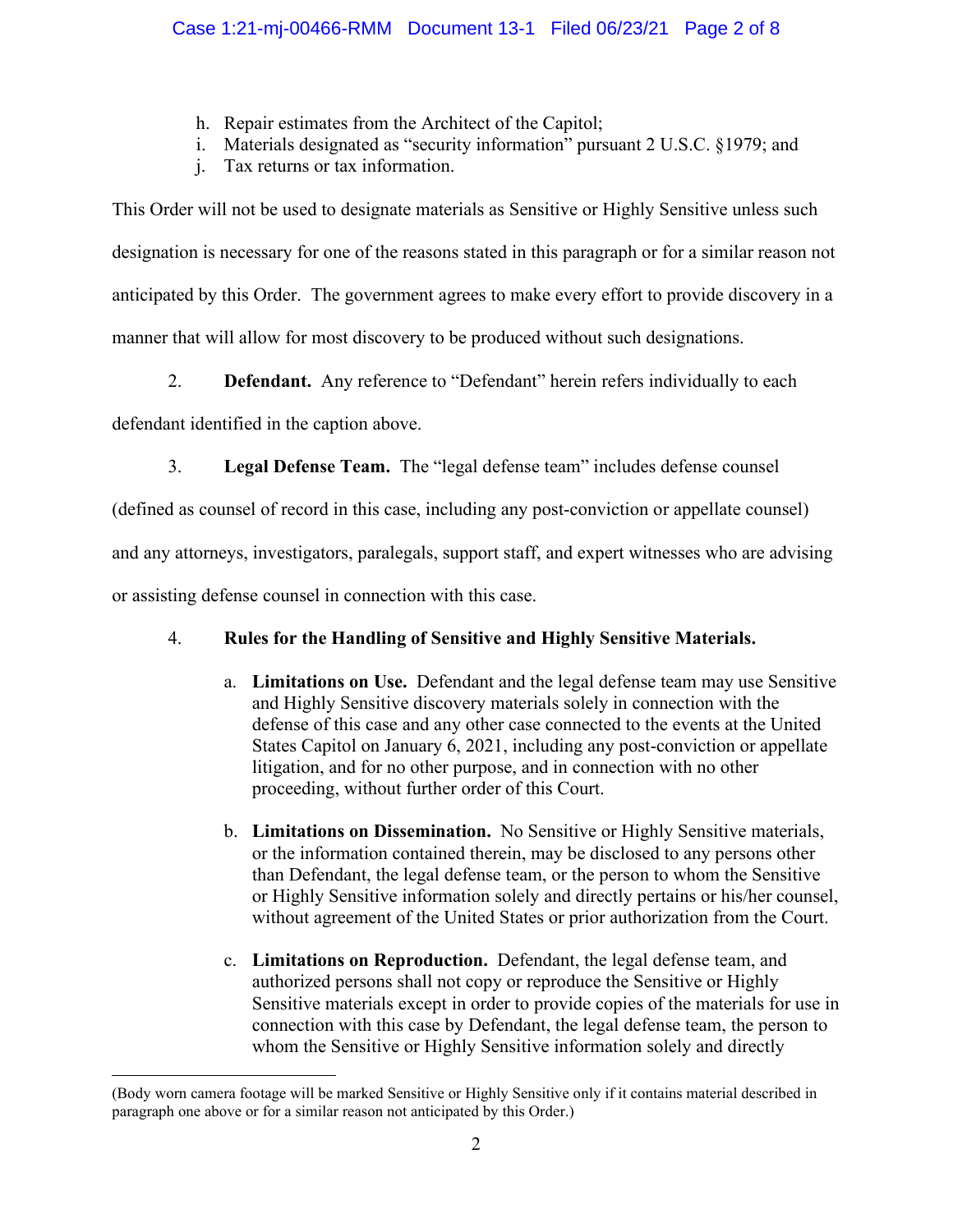- h. Repair estimates from the Architect of the Capitol;
- i. Materials designated as "security information" pursuant 2 U.S.C. §1979; and
- j. Tax returns or tax information.

This Order will not be used to designate materials as Sensitive or Highly Sensitive unless such designation is necessary for one of the reasons stated in this paragraph or for a similar reason not anticipated by this Order. The government agrees to make every effort to provide discovery in a manner that will allow for most discovery to be produced without such designations.

2. **Defendant.** Any reference to "Defendant" herein refers individually to each

defendant identified in the caption above.

3. **Legal Defense Team.** The "legal defense team" includes defense counsel

(defined as counsel of record in this case, including any post-conviction or appellate counsel)

and any attorneys, investigators, paralegals, support staff, and expert witnesses who are advising

or assisting defense counsel in connection with this case.

# 4. **Rules for the Handling of Sensitive and Highly Sensitive Materials.**

- a. **Limitations on Use.** Defendant and the legal defense team may use Sensitive and Highly Sensitive discovery materials solely in connection with the defense of this case and any other case connected to the events at the United States Capitol on January 6, 2021, including any post-conviction or appellate litigation, and for no other purpose, and in connection with no other proceeding, without further order of this Court.
- b. **Limitations on Dissemination.** No Sensitive or Highly Sensitive materials, or the information contained therein, may be disclosed to any persons other than Defendant, the legal defense team, or the person to whom the Sensitive or Highly Sensitive information solely and directly pertains or his/her counsel, without agreement of the United States or prior authorization from the Court.
- c. **Limitations on Reproduction.** Defendant, the legal defense team, and authorized persons shall not copy or reproduce the Sensitive or Highly Sensitive materials except in order to provide copies of the materials for use in connection with this case by Defendant, the legal defense team, the person to whom the Sensitive or Highly Sensitive information solely and directly

<sup>(</sup>Body worn camera footage will be marked Sensitive or Highly Sensitive only if it contains material described in paragraph one above or for a similar reason not anticipated by this Order.)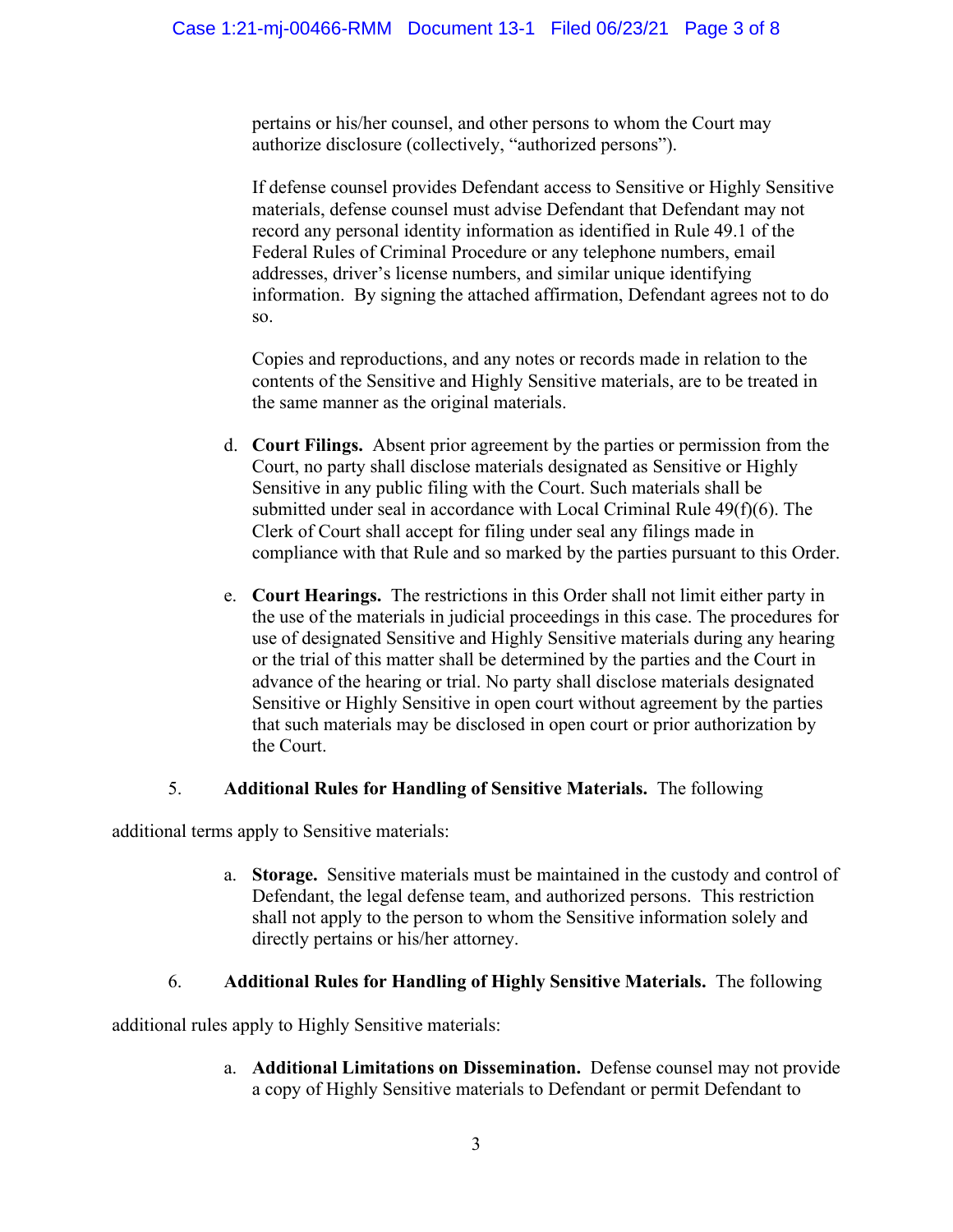pertains or his/her counsel, and other persons to whom the Court may authorize disclosure (collectively, "authorized persons").

If defense counsel provides Defendant access to Sensitive or Highly Sensitive materials, defense counsel must advise Defendant that Defendant may not record any personal identity information as identified in Rule 49.1 of the Federal Rules of Criminal Procedure or any telephone numbers, email addresses, driver's license numbers, and similar unique identifying information. By signing the attached affirmation, Defendant agrees not to do so.

Copies and reproductions, and any notes or records made in relation to the contents of the Sensitive and Highly Sensitive materials, are to be treated in the same manner as the original materials.

- d. **Court Filings.** Absent prior agreement by the parties or permission from the Court, no party shall disclose materials designated as Sensitive or Highly Sensitive in any public filing with the Court. Such materials shall be submitted under seal in accordance with Local Criminal Rule 49(f)(6). The Clerk of Court shall accept for filing under seal any filings made in compliance with that Rule and so marked by the parties pursuant to this Order.
- e. **Court Hearings.** The restrictions in this Order shall not limit either party in the use of the materials in judicial proceedings in this case. The procedures for use of designated Sensitive and Highly Sensitive materials during any hearing or the trial of this matter shall be determined by the parties and the Court in advance of the hearing or trial. No party shall disclose materials designated Sensitive or Highly Sensitive in open court without agreement by the parties that such materials may be disclosed in open court or prior authorization by the Court.

## 5. **Additional Rules for Handling of Sensitive Materials.** The following

additional terms apply to Sensitive materials:

a. **Storage.** Sensitive materials must be maintained in the custody and control of Defendant, the legal defense team, and authorized persons. This restriction shall not apply to the person to whom the Sensitive information solely and directly pertains or his/her attorney.

## 6. **Additional Rules for Handling of Highly Sensitive Materials.** The following

additional rules apply to Highly Sensitive materials:

a. **Additional Limitations on Dissemination.** Defense counsel may not provide a copy of Highly Sensitive materials to Defendant or permit Defendant to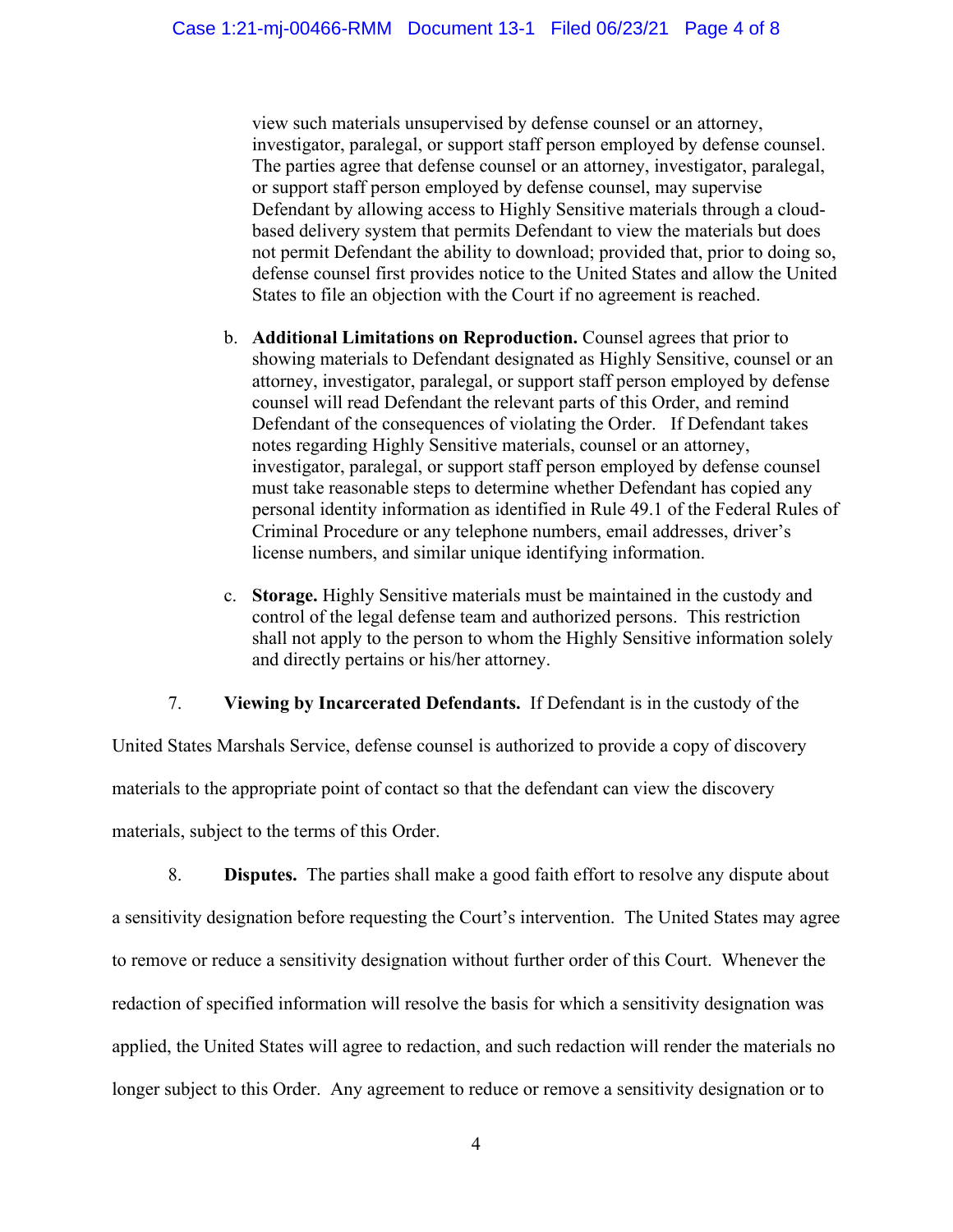view such materials unsupervised by defense counsel or an attorney, investigator, paralegal, or support staff person employed by defense counsel. The parties agree that defense counsel or an attorney, investigator, paralegal, or support staff person employed by defense counsel, may supervise Defendant by allowing access to Highly Sensitive materials through a cloudbased delivery system that permits Defendant to view the materials but does not permit Defendant the ability to download; provided that, prior to doing so, defense counsel first provides notice to the United States and allow the United States to file an objection with the Court if no agreement is reached.

- b. **Additional Limitations on Reproduction.** Counsel agrees that prior to showing materials to Defendant designated as Highly Sensitive, counsel or an attorney, investigator, paralegal, or support staff person employed by defense counsel will read Defendant the relevant parts of this Order, and remind Defendant of the consequences of violating the Order. If Defendant takes notes regarding Highly Sensitive materials, counsel or an attorney, investigator, paralegal, or support staff person employed by defense counsel must take reasonable steps to determine whether Defendant has copied any personal identity information as identified in Rule 49.1 of the Federal Rules of Criminal Procedure or any telephone numbers, email addresses, driver's license numbers, and similar unique identifying information.
- c. **Storage.** Highly Sensitive materials must be maintained in the custody and control of the legal defense team and authorized persons. This restriction shall not apply to the person to whom the Highly Sensitive information solely and directly pertains or his/her attorney.

## 7. **Viewing by Incarcerated Defendants.** If Defendant is in the custody of the

United States Marshals Service, defense counsel is authorized to provide a copy of discovery materials to the appropriate point of contact so that the defendant can view the discovery materials, subject to the terms of this Order.

8. **Disputes.** The parties shall make a good faith effort to resolve any dispute about a sensitivity designation before requesting the Court's intervention. The United States may agree to remove or reduce a sensitivity designation without further order of this Court. Whenever the redaction of specified information will resolve the basis for which a sensitivity designation was applied, the United States will agree to redaction, and such redaction will render the materials no longer subject to this Order. Any agreement to reduce or remove a sensitivity designation or to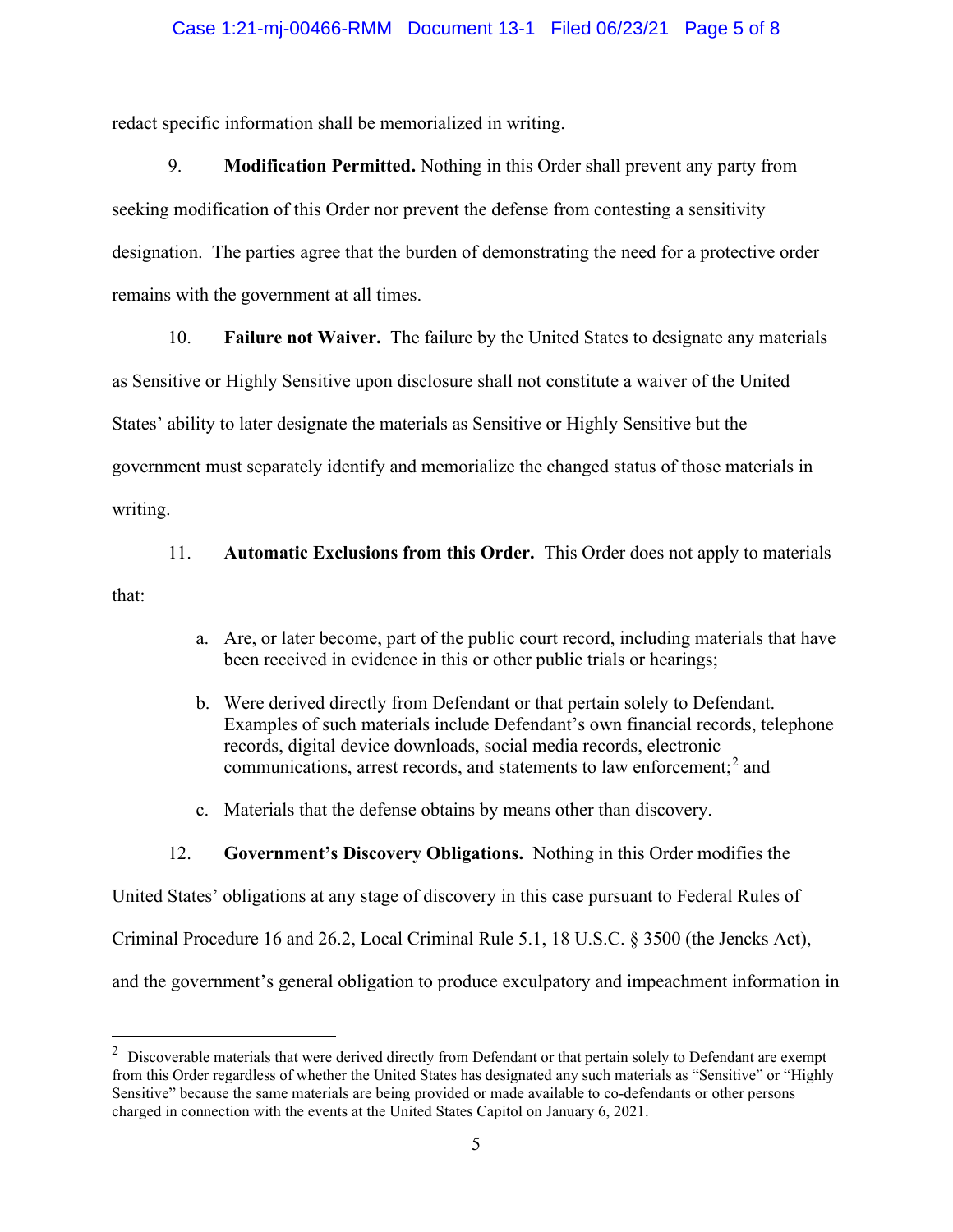#### Case 1:21-mj-00466-RMM Document 13-1 Filed 06/23/21 Page 5 of 8

redact specific information shall be memorialized in writing.

9. **Modification Permitted.** Nothing in this Order shall prevent any party from seeking modification of this Order nor prevent the defense from contesting a sensitivity designation. The parties agree that the burden of demonstrating the need for a protective order remains with the government at all times.

10. **Failure not Waiver.** The failure by the United States to designate any materials

as Sensitive or Highly Sensitive upon disclosure shall not constitute a waiver of the United

States' ability to later designate the materials as Sensitive or Highly Sensitive but the

government must separately identify and memorialize the changed status of those materials in

writing.

11. **Automatic Exclusions from this Order.** This Order does not apply to materials

that:

- a. Are, or later become, part of the public court record, including materials that have been received in evidence in this or other public trials or hearings;
- b. Were derived directly from Defendant or that pertain solely to Defendant. Examples of such materials include Defendant's own financial records, telephone records, digital device downloads, social media records, electronic communications, arrest records, and statements to law enforcement; <sup>2</sup> and
- c. Materials that the defense obtains by means other than discovery.

## 12. **Government's Discovery Obligations.** Nothing in this Order modifies the

United States' obligations at any stage of discovery in this case pursuant to Federal Rules of Criminal Procedure 16 and 26.2, Local Criminal Rule 5.1, 18 U.S.C. § 3500 (the Jencks Act), and the government's general obligation to produce exculpatory and impeachment information in

 $2$  Discoverable materials that were derived directly from Defendant or that pertain solely to Defendant are exempt from this Order regardless of whether the United States has designated any such materials as "Sensitive" or "Highly Sensitive" because the same materials are being provided or made available to co-defendants or other persons charged in connection with the events at the United States Capitol on January 6, 2021.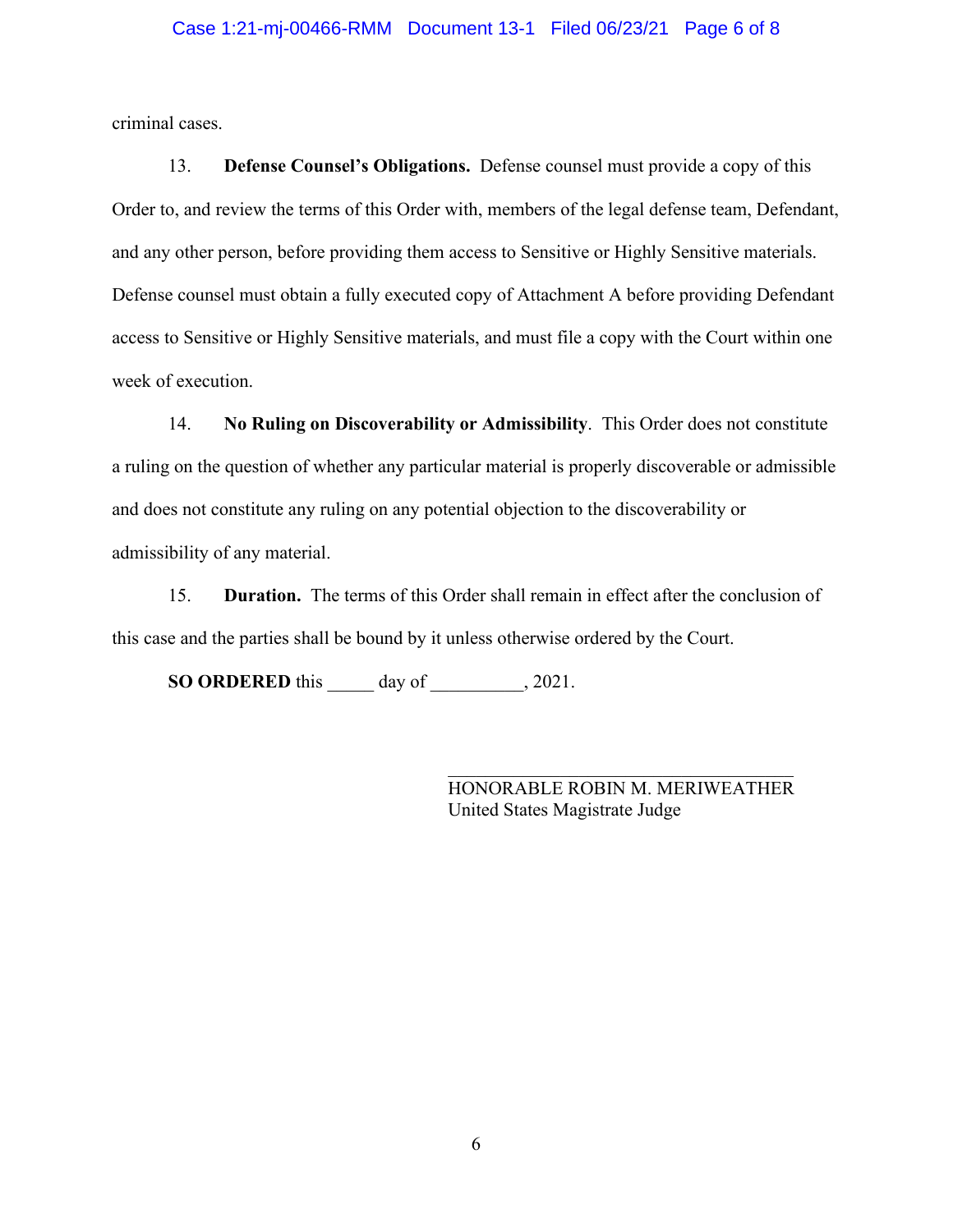#### Case 1:21-mj-00466-RMM Document 13-1 Filed 06/23/21 Page 6 of 8

criminal cases.

13. **Defense Counsel's Obligations.** Defense counsel must provide a copy of this Order to, and review the terms of this Order with, members of the legal defense team, Defendant, and any other person, before providing them access to Sensitive or Highly Sensitive materials. Defense counsel must obtain a fully executed copy of Attachment A before providing Defendant access to Sensitive or Highly Sensitive materials, and must file a copy with the Court within one week of execution.

14. **No Ruling on Discoverability or Admissibility**. This Order does not constitute a ruling on the question of whether any particular material is properly discoverable or admissible and does not constitute any ruling on any potential objection to the discoverability or admissibility of any material.

15. **Duration.** The terms of this Order shall remain in effect after the conclusion of this case and the parties shall be bound by it unless otherwise ordered by the Court.

**SO ORDERED** this \_\_\_\_\_ day of \_\_\_\_\_\_\_\_, 2021.

HONORABLE ROBIN M. MERIWEATHER United States Magistrate Judge

\_\_\_\_\_\_\_\_\_\_\_\_\_\_\_\_\_\_\_\_\_\_\_\_\_\_\_\_\_\_\_\_\_\_\_\_\_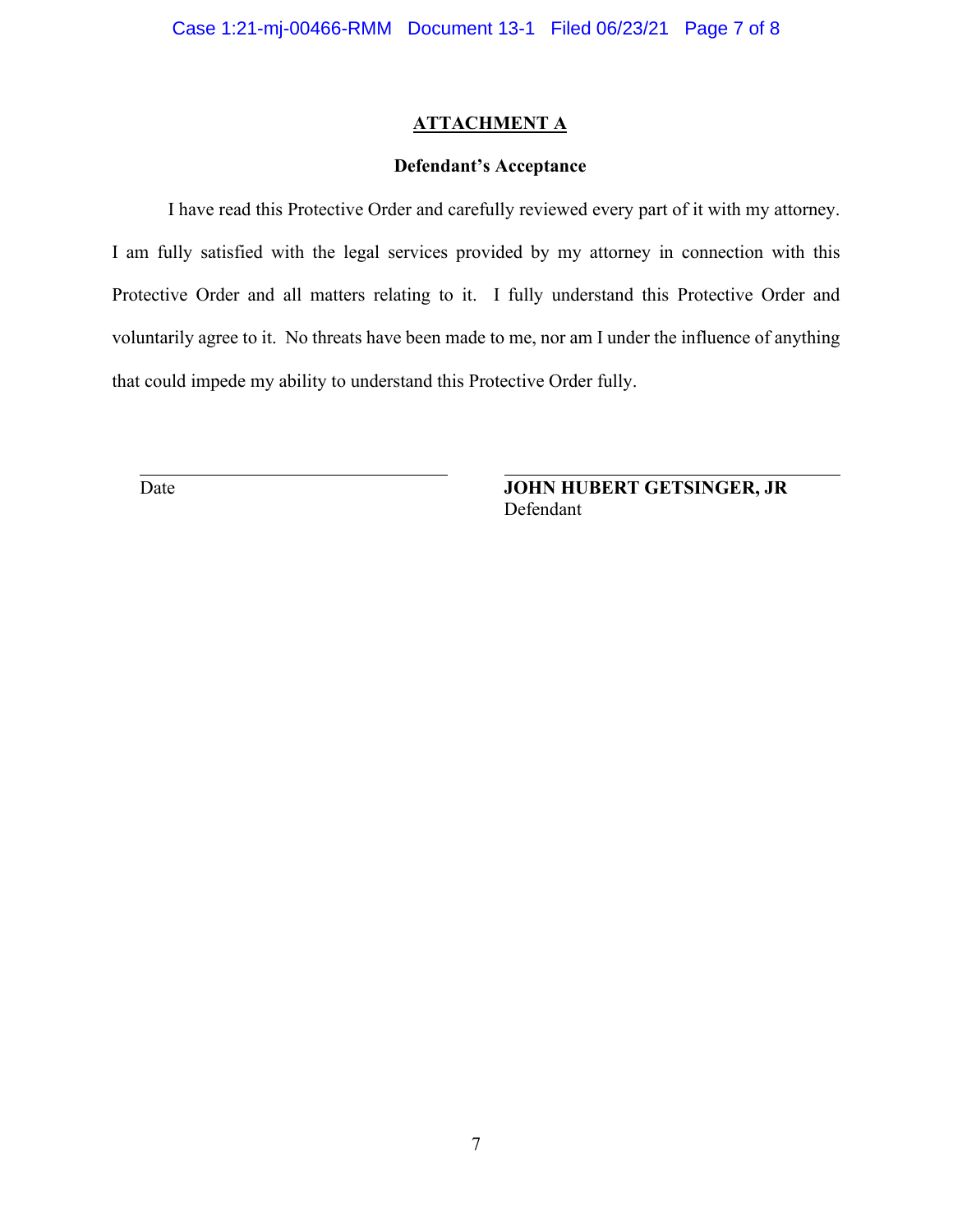## **ATTACHMENT A**

## **Defendant's Acceptance**

I have read this Protective Order and carefully reviewed every part of it with my attorney. I am fully satisfied with the legal services provided by my attorney in connection with this Protective Order and all matters relating to it. I fully understand this Protective Order and voluntarily agree to it. No threats have been made to me, nor am I under the influence of anything that could impede my ability to understand this Protective Order fully.

Date **JOHN HUBERT GETSINGER, JR** Defendant